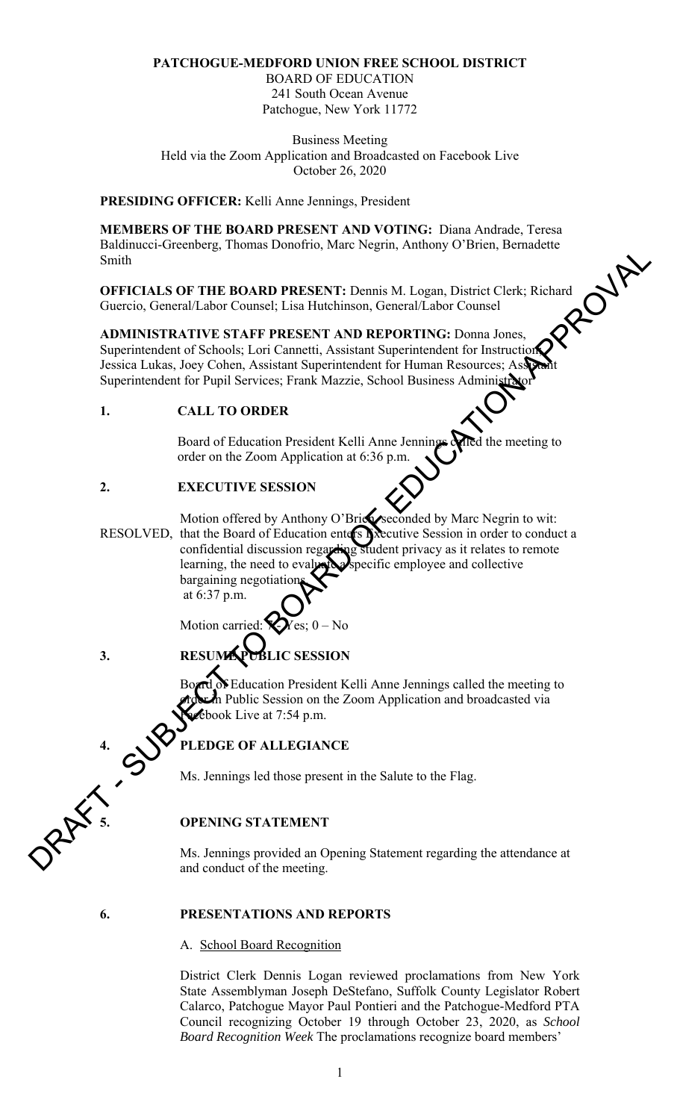#### **PATCHOGUE-MEDFORD UNION FREE SCHOOL DISTRICT**

BOARD OF EDUCATION 241 South Ocean Avenue Patchogue, New York 11772

Business Meeting Held via the Zoom Application and Broadcasted on Facebook Live October 26, 2020

**PRESIDING OFFICER:** Kelli Anne Jennings, President

**MEMBERS OF THE BOARD PRESENT AND VOTING:** Diana Andrade, Teresa Baldinucci-Greenberg, Thomas Donofrio, Marc Negrin, Anthony O'Brien, Bernadette Smith

**OFFICIALS OF THE BOARD PRESENT:** Dennis M. Logan, District Clerk; Richard Guercio, General/Labor Counsel; Lisa Hutchinson, General/Labor Counsel

**ADMINISTRATIVE STAFF PRESENT AND REPORTING:** Donna Jones, Superintendent of Schools; Lori Cannetti, Assistant Superintendent for Instruction; Jessica Lukas, Joey Cohen, Assistant Superintendent for Human Resources; Assistant Superintendent for Pupil Services; Frank Mazzie, School Business Administrator

## **1. CALL TO ORDER**

Board of Education President Kelli Anne Jennings called the meeting to order on the Zoom Application at 6:36 p.m.

# **2. EXECUTIVE SESSION**

Motion offered by Anthony O'Brien, seconded by Marc Negrin to wit: RESOLVED, that the Board of Education enters Executive Session in order to conduct a confidential discussion regarding student privacy as it relates to remote learning, the need to evaluate a specific employee and collective bargaining negotiation at 6:37 p.m. Butther Control of The Board of FRAFT Demands and the Figure 1.1 Control of The Control of Substitute Control of Substitute Control of Substitute Control and Substitute Control of Substitute Control and Substitute Control

Motion carried:

Ĭ

# **3. RESUME PUBLIC SESSION**

Education President Kelli Anne Jennings called the meeting to In Public Session on the Zoom Application and broadcasted via  $\triangle$ book Live at 7:54 p.m.

# **4. PLEDGE OF ALLEGIANCE**

Ms. Jennings led those present in the Salute to the Flag.

## **5. OPENING STATEMENT**

Ms. Jennings provided an Opening Statement regarding the attendance at and conduct of the meeting.

**6. PRESENTATIONS AND REPORTS** 

## A. School Board Recognition

District Clerk Dennis Logan reviewed proclamations from New York State Assemblyman Joseph DeStefano, Suffolk County Legislator Robert Calarco, Patchogue Mayor Paul Pontieri and the Patchogue-Medford PTA Council recognizing October 19 through October 23, 2020, as *School Board Recognition Week* The proclamations recognize board members'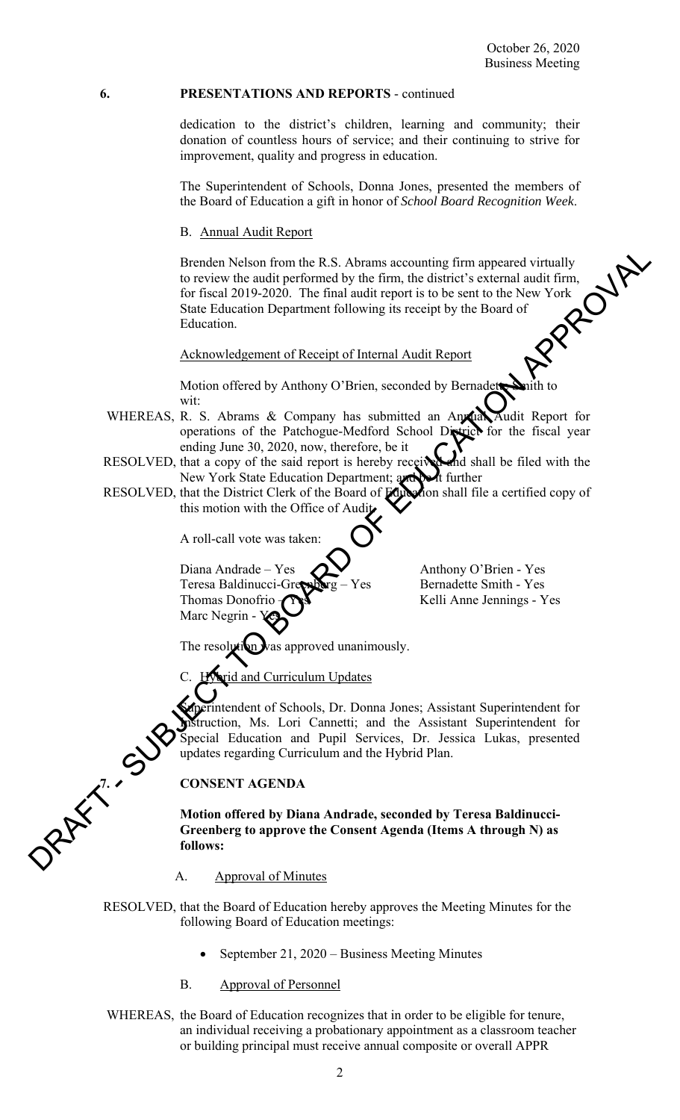#### **6. PRESENTATIONS AND REPORTS** - continued

dedication to the district's children, learning and community; their donation of countless hours of service; and their continuing to strive for improvement, quality and progress in education.

The Superintendent of Schools, Donna Jones, presented the members of the Board of Education a gift in honor of *School Board Recognition Week*.

B. Annual Audit Report

Brenden Nelson from the R.S. Abrams accounting firm appeared virtually<br>to review the audit performed by the firm, the district's external audit firm,<br>for fiscal 2019-2020. The final audit report is to be sent to the New Y to review the audit performed by the firm, the district's external audit firm, for fiscal 2019-2020. The final audit report is to be sent to the New York State Education Department following its receipt by the Board of Education. Exercise of the said first specified Newton free the S. Abents are continue than the scheme and the risk directive business the state of the first of the state of the Scheme and the risk directive and the state of the Sch

Acknowledgement of Receipt of Internal Audit Report

Motion offered by Anthony O'Brien, seconded by Bernadet wit:

- WHEREAS, R. S. Abrams & Company has submitted an Anxha Audit Report for operations of the Patchogue-Medford School District for the fiscal year ending June 30, 2020, now, therefore, be it
- RESOLVED, that a copy of the said report is hereby received and shall be filed with the New York State Education Department; and bet further
- RESOLVED, that the District Clerk of the Board of Education shall file a certified copy of this motion with the Office of Audi

A roll-call vote was taken:

Diana Andrade – Yes  $\bigotimes$  Anthony O'Brien - Yes Teresa Baldinucci-Greenberg – Yes Bernadette Smith - Yes Thomas Donofrio  $\bigcap_{i=1}^{\infty}$  Kelli Anne Jennings - Yes Marc Negrin

as approved unanimously.

id and Curriculum Updates

Intendent of Schools, Dr. Donna Jones; Assistant Superintendent for truction, Ms. Lori Cannetti; and the Assistant Superintendent for Special Education and Pupil Services, Dr. Jessica Lukas, presented updates regarding Curriculum and the Hybrid Plan.

## **7. CONSENT AGENDA**

JRAFF -

**Motion offered by Diana Andrade, seconded by Teresa Baldinucci-Greenberg to approve the Consent Agenda (Items A through N) as follows:** 

A. Approval of Minutes

RESOLVED, that the Board of Education hereby approves the Meeting Minutes for the following Board of Education meetings:

- September 21, 2020 Business Meeting Minutes
- B. Approval of Personnel
- WHEREAS, the Board of Education recognizes that in order to be eligible for tenure, an individual receiving a probationary appointment as a classroom teacher or building principal must receive annual composite or overall APPR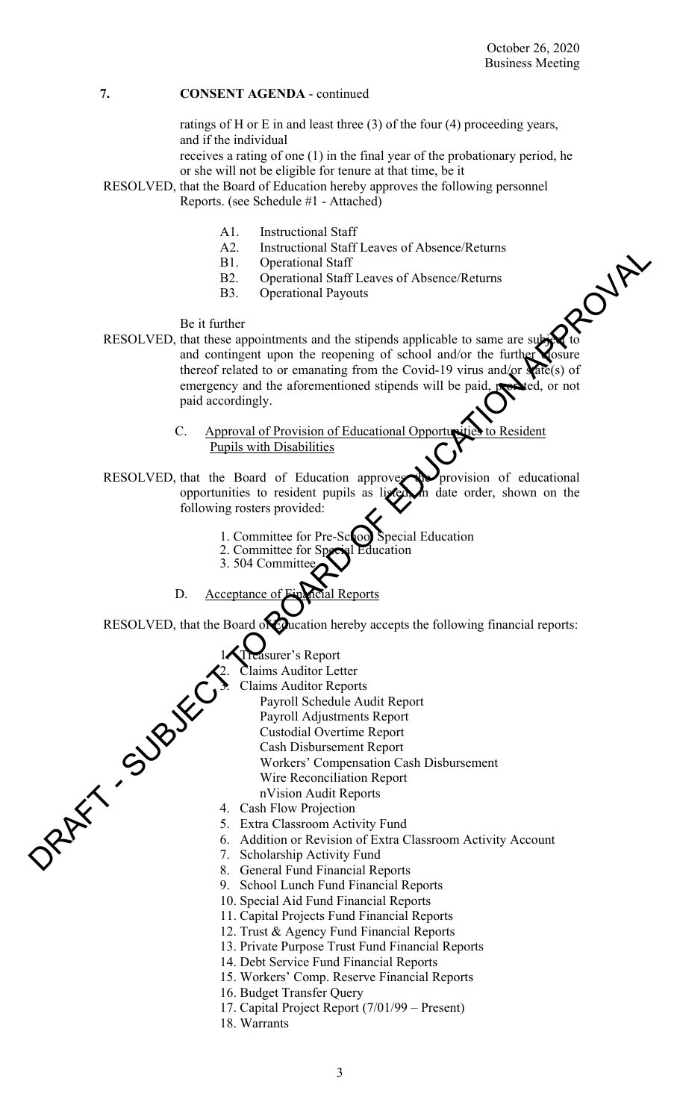ratings of H or E in and least three (3) of the four (4) proceeding years, and if the individual

receives a rating of one (1) in the final year of the probationary period, he or she will not be eligible for tenure at that time, be it

 RESOLVED, that the Board of Education hereby approves the following personnel Reports. (see Schedule #1 - Attached)

- A1. Instructional Staff
- A2. Instructional Staff Leaves of Absence/Returns
- B1. Operational Staff
- B2. Operational Staff Leaves of Absence/Returns
- B3. Operational Payouts

Be it further

Be it further<br>RESOLVED, that these appointments and the stipends applicable to same are subject to and contingent upon the reopening of school and/or the further cosure thereof related to or emanating from the Covid-19 virus and/or  $\widehat{\text{gate}}(s)$  of emergency and the aforementioned stipends will be paid, problem, or not paid accordingly. **EXECUTE To be a set of the state of the state of the state of the state of the state of the state of the state of the state of the state of the state of the state of the state of the state of the state of the state of th** 

C. Approval of Provision of Educational Opportunities to Resident Pupils with Disabilities

RESOLVED, that the Board of Education approves provision of educational opportunities to resident pupils as listed,  $\lambda$  date order, shown on the following rosters provided:

- 1. Committee for Pre-School Special Education
- 2. Committee for Spocial Education
- 3. 504 Committe
- D. Acceptance of Financial Reports

RESOLVED, that the Board of Equivation hereby accepts the following financial reports:

- 
- asurer's Report 2. Claims Auditor Letter
- 3. Claims Auditor Reports
	- Payroll Schedule Audit Report
	- Payroll Adjustments Report
		- Custodial Overtime Report
		- Cash Disbursement Report
		- Workers' Compensation Cash Disbursement
		- Wire Reconciliation Report
	- nVision Audit Reports
- 4. Cash Flow Projection
- 5. Extra Classroom Activity Fund
- 6. Addition or Revision of Extra Classroom Activity Account
- 7. Scholarship Activity Fund
- 8. General Fund Financial Reports
- 9. School Lunch Fund Financial Reports
- 10. Special Aid Fund Financial Reports
- 11. Capital Projects Fund Financial Reports
- 12. Trust & Agency Fund Financial Reports
- 13. Private Purpose Trust Fund Financial Reports
- 14. Debt Service Fund Financial Reports
- 15. Workers' Comp. Reserve Financial Reports
- 16. Budget Transfer Query
- 17. Capital Project Report (7/01/99 Present)
- 18. Warrants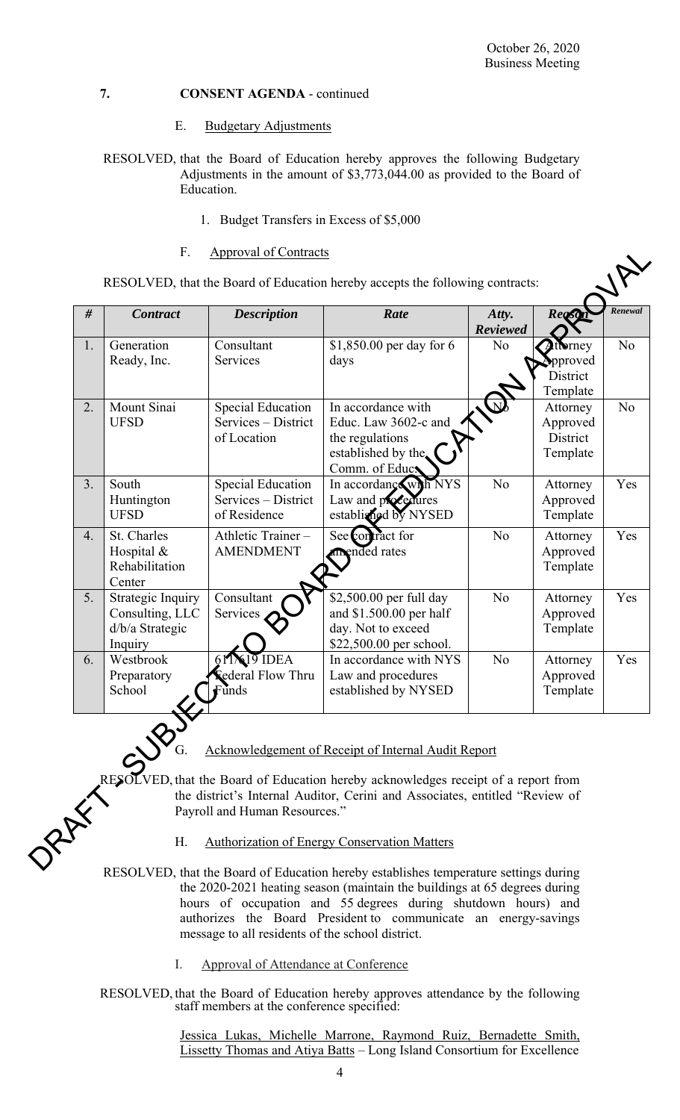# E. Budgetary Adjustments

 RESOLVED, that the Board of Education hereby approves the following Budgetary Adjustments in the amount of \$3,773,044.00 as provided to the Board of Education.

1. Budget Transfers in Excess of \$5,000

# F. Approval of Contracts

| $\#$ | <b>Contract</b>                                                    | <b>Description</b>                                              | Rate                                                                                                                                                                                               | Atty.<br><b>Reviewed</b> | <b>Reaso</b>                                       |
|------|--------------------------------------------------------------------|-----------------------------------------------------------------|----------------------------------------------------------------------------------------------------------------------------------------------------------------------------------------------------|--------------------------|----------------------------------------------------|
| 1.   | Generation<br>Ready, Inc.                                          | Consultant<br><b>Services</b>                                   | \$1,850.00 per day for 6<br>days                                                                                                                                                                   | N <sub>o</sub>           | <b>Attorney</b><br>pproved<br>District<br>Template |
| 2.   | Mount Sinai<br><b>UFSD</b>                                         | <b>Special Education</b><br>Services – District<br>of Location  | In accordance with<br>Educ. Law 3602-c and<br>the regulations<br>established by the.<br>Comm. of Educ.                                                                                             |                          | Attorney<br>Approved<br>District<br>Template       |
| 3.   | South<br>Huntington<br><b>UFSD</b>                                 | <b>Special Education</b><br>Services - District<br>of Residence | In accordance with NYS<br>Law and procedures<br>established by NYSED                                                                                                                               | N <sub>o</sub>           | Attorney<br>Approved<br>Template                   |
| 4.   | St. Charles<br>Hospital &<br>Rehabilitation<br>Center              | Athletic Trainer-<br><b>AMENDMENT</b>                           | See contract for<br><b>mended</b> rates                                                                                                                                                            | N <sub>o</sub>           | Attorney<br>Approved<br>Template                   |
| 5.   | Strategic Inquiry<br>Consulting, LLC<br>d/b/a Strategic<br>Inquiry | Consultant<br>Services                                          | \$2,500.00 per full day<br>and \$1.500.00 per half<br>day. Not to exceed<br>\$22,500.00 per school.                                                                                                | N <sub>o</sub>           | Attorney<br>Approved<br>Template                   |
| 6.   | Westbrook<br>Preparatory<br>School                                 | $611$ $\sqrt{9}$ IDEA<br>ederal Flow Thru<br>Funds              | In accordance with NYS<br>Law and procedures<br>established by NYSED                                                                                                                               | N <sub>o</sub>           | Attorney<br>Approved<br>Template                   |
|      |                                                                    |                                                                 | RESOLVED, that the Board of Education hereby acknowledges receipt of a report from<br>the district's Internal Auditor, Cerini and Associates, entitled "Review of<br>Payroll and Human Resources." |                          |                                                    |

RESOLVED, that the Board of Education hereby establishes temperature settings during the 2020-2021 heating season (maintain the buildings at 65 degrees during hours of occupation and 55 degrees during shutdown hours) and authorizes the Board President to communicate an energy-savings message to all residents of the school district.

I. Approval of Attendance at Conference

RESOLVED, that the Board of Education hereby approves attendance by the following staff members at the conference specified:

> Jessica Lukas, Michelle Marrone, Raymond Ruiz, Bernadette Smith, Lissetty Thomas and Atiya Batts – Long Island Consortium for Excellence

> > 4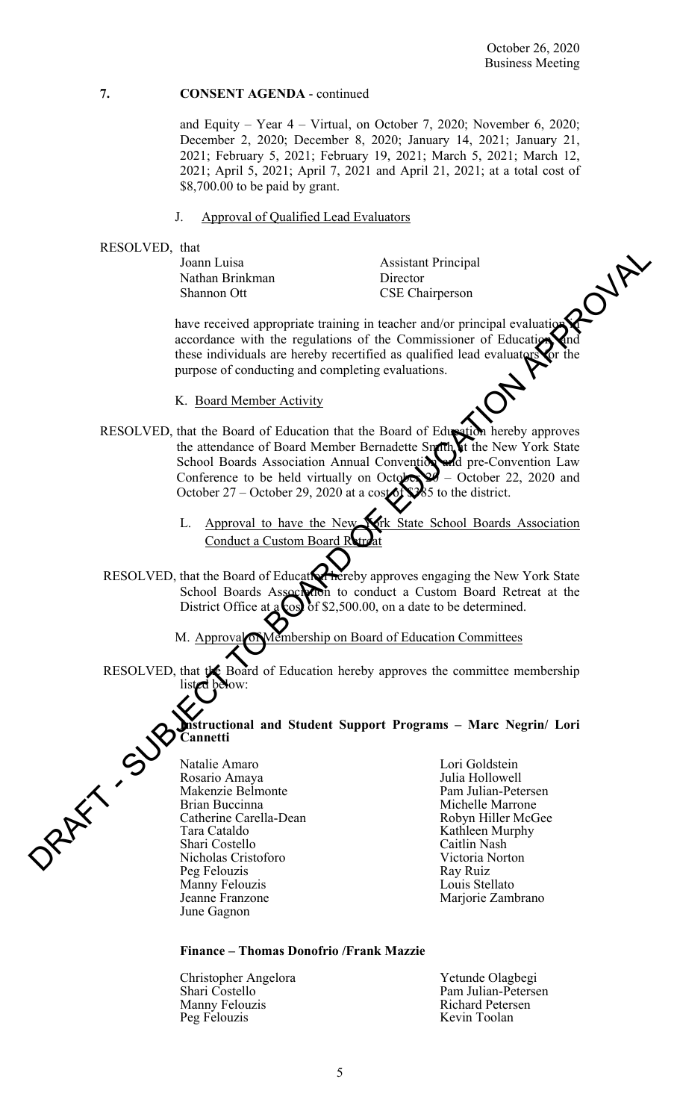and Equity – Year 4 – Virtual, on October 7, 2020; November 6, 2020; December 2, 2020; December 8, 2020; January 14, 2021; January 21, 2021; February 5, 2021; February 19, 2021; March 5, 2021; March 12, 2021; April 5, 2021; April 7, 2021 and April 21, 2021; at a total cost of \$8,700.00 to be paid by grant.

- J. Approval of Qualified Lead Evaluators
- RESOLVED, that

Nathan Brinkman Director

Joann Luisa Assistant Principal Shannon Ott CSE Chairperson

have received appropriate training in teacher and/or principal evaluation accordance with the regulations of the Commissioner of Education and these individuals are hereby recertified as qualified lead evaluators for the purpose of conducting and completing evaluations.

K. Board Member Activity

- RESOLVED, that the Board of Education that the Board of Education hereby approves the attendance of Board Member Bernadette Smith It the New York State School Boards Association Annual Convention and pre-Convention Law Conference to be held virtually on October 22, 2020 and October 27 – October 29, 2020 at a cost  $\delta$  \$385 to the district. Experiment and the state of the state of the state of the state of the state of the state of the state of the state of the state of the state of the state of the state of the state of the state of the state of the state o
	- L. Approval to have the New York State School Boards Association Conduct a Custom Board R

RESOLVED, that the Board of Education hereby approves engaging the New York State School Boards Association to conduct a Custom Board Retreat at the District Office at a cost of \$2,500.00, on a date to be determined.

- M. Approval **ON** Membership on Board of Education Committees
- RESOLVED, that the Board of Education hereby approves the committee membership listed below:



**Instructional and Student Support Programs – Marc Negrin/ Lori Cannetti** 

Natalie Amaro Rosario Amaya Makenzie Belmonte Brian Buccinna Catherine Carella-Dean Tara Cataldo Shari Costello Nicholas Cristoforo Peg Felouzis Manny Felouzis Jeanne Franzone June Gagnon

Lori Goldstein Julia Hollowell Pam Julian-Petersen Michelle Marrone Robyn Hiller McGee Kathleen Murphy Caitlin Nash Victoria Norton Ray Ruiz Louis Stellato Marjorie Zambrano

## **Finance – Thomas Donofrio /Frank Mazzie**

Christopher Angelora Shari Costello Manny Felouzis Peg Felouzis

Yetunde Olagbegi Pam Julian-Petersen Richard Petersen Kevin Toolan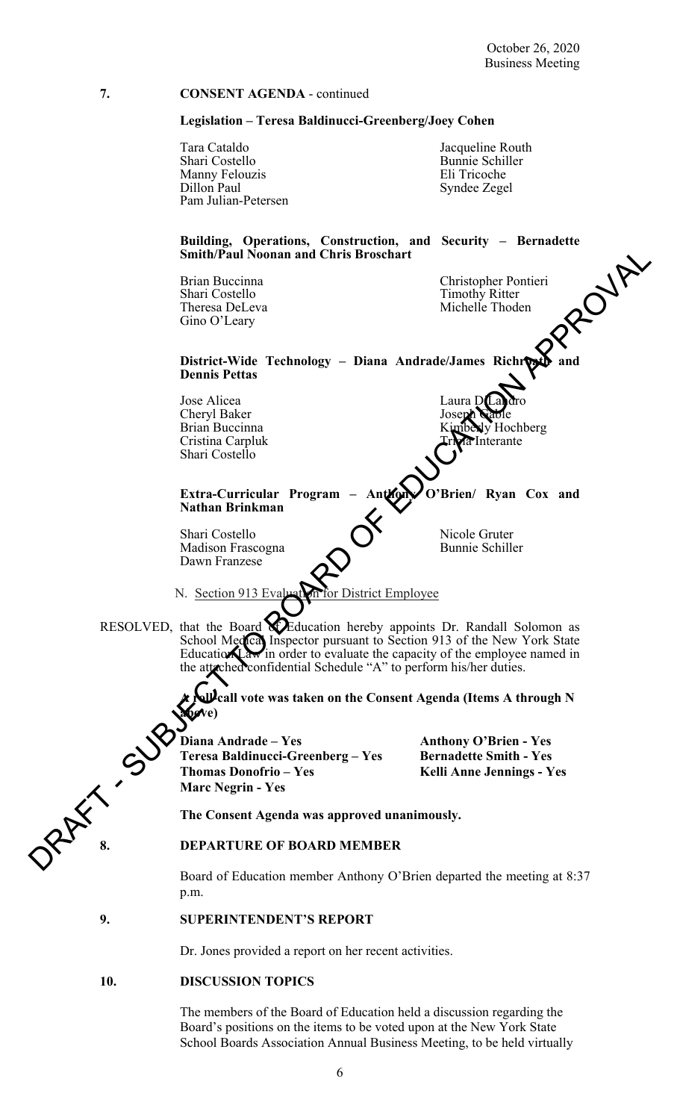# **Legislation – Teresa Baldinucci-Greenberg/Joey Cohen**

|          | $Legis$ and $-1$ eresa Dalumucci-Greenberg/Joey Conen                                                                                                                                                                                                                                                                              |                                                                                                   |  |  |  |
|----------|------------------------------------------------------------------------------------------------------------------------------------------------------------------------------------------------------------------------------------------------------------------------------------------------------------------------------------|---------------------------------------------------------------------------------------------------|--|--|--|
|          | Tara Cataldo<br>Shari Costello<br>Manny Felouzis<br>Dillon Paul<br>Pam Julian-Petersen                                                                                                                                                                                                                                             | Jacqueline Routh<br><b>Bunnie Schiller</b><br>Eli Tricoche<br>Syndee Zegel                        |  |  |  |
|          | Building, Operations, Construction, and Security - Bernadette<br><b>Smith/Paul Noonan and Chris Broschart</b>                                                                                                                                                                                                                      |                                                                                                   |  |  |  |
|          | Brian Buccinna<br>Shari Costello<br>Theresa DeLeva<br>Gino O'Leary                                                                                                                                                                                                                                                                 | <b>POUP</b><br>Christopher Pontieri<br><b>Timothy Ritter</b><br>Michelle Thoden                   |  |  |  |
|          | and<br>District-Wide Technology - Diana Andrade/James Richroad<br><b>Dennis Pettas</b>                                                                                                                                                                                                                                             |                                                                                                   |  |  |  |
|          | Jose Alicea<br>Cheryl Baker<br>Brian Buccinna<br>Cristina Carpluk<br>Shari Costello                                                                                                                                                                                                                                                | Laura D<br>Joseph <b>Gable</b><br>Kimberly Hochberg<br>a Interante                                |  |  |  |
|          | O'Brien/ Ryan Cox and<br>Extra-Curricular Program -<br>Anthony<br><b>Nathan Brinkman</b>                                                                                                                                                                                                                                           |                                                                                                   |  |  |  |
|          | Shari Costello<br>Madison Frascogna<br>Dawn Franzese                                                                                                                                                                                                                                                                               | Nicole Gruter<br><b>Bunnie Schiller</b>                                                           |  |  |  |
|          | N. Section 913 Evaluat:<br>on for District Employee                                                                                                                                                                                                                                                                                |                                                                                                   |  |  |  |
|          | $\boldsymbol{\mathcal{O}}$<br>RESOLVED, that the Board & Education hereby appoints Dr. Randall Solomon as<br>School Medca Inspector pursuant to Section 913 of the New York State<br>Education Law in order to evaluate the capacity of the employee named in<br>the attached confidential Schedule "A" to perform his/her duties. |                                                                                                   |  |  |  |
|          | all vote was taken on the Consent Agenda (Items A through N<br><b>Above</b> )                                                                                                                                                                                                                                                      |                                                                                                   |  |  |  |
| PRAY SUE | Diana Andrade – Yes<br>Teresa Baldinucci-Greenberg - Yes<br><b>Thomas Donofrio - Yes</b><br><b>Marc Negrin - Yes</b>                                                                                                                                                                                                               | <b>Anthony O'Brien - Yes</b><br><b>Bernadette Smith - Yes</b><br><b>Kelli Anne Jennings - Yes</b> |  |  |  |
|          | The Consent Agenda was approved unanimously.                                                                                                                                                                                                                                                                                       |                                                                                                   |  |  |  |
|          | <b>DEPARTURE OF BOARD MEMBER</b>                                                                                                                                                                                                                                                                                                   |                                                                                                   |  |  |  |
|          | Board of Education member Anthony O'Brien departed the meeting at 8:37<br>p.m.                                                                                                                                                                                                                                                     |                                                                                                   |  |  |  |
| 9.       | <b>SUPERINTENDENT'S REPORT</b>                                                                                                                                                                                                                                                                                                     |                                                                                                   |  |  |  |
|          | Dr. Jones provided a report on her recent activities.                                                                                                                                                                                                                                                                              |                                                                                                   |  |  |  |
| 10.      | <b>DISCUSSION TOPICS</b>                                                                                                                                                                                                                                                                                                           |                                                                                                   |  |  |  |
|          |                                                                                                                                                                                                                                                                                                                                    |                                                                                                   |  |  |  |

The members of the Board of Education held a discussion regarding the Board's positions on the items to be voted upon at the New York State School Boards Association Annual Business Meeting, to be held virtually